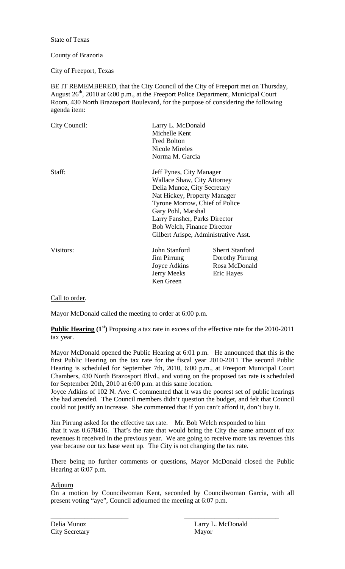State of Texas

## County of Brazoria

City of Freeport, Texas

BE IT REMEMBERED, that the City Council of the City of Freeport met on Thursday, August 26<sup>th</sup>, 2010 at 6:00 p.m., at the Freeport Police Department, Municipal Court Room, 430 North Brazosport Boulevard, for the purpose of considering the following agenda item:

| City Council: | Larry L. McDonald<br>Michelle Kent<br><b>Fred Bolton</b><br>Nicole Mireles<br>Norma M. Garcia |                                                                                                                                                                                                                                                                         |  |
|---------------|-----------------------------------------------------------------------------------------------|-------------------------------------------------------------------------------------------------------------------------------------------------------------------------------------------------------------------------------------------------------------------------|--|
| Staff:        | Gary Pohl, Marshal                                                                            | Jeff Pynes, City Manager<br>Wallace Shaw, City Attorney<br>Delia Munoz, City Secretary<br>Nat Hickey, Property Manager<br>Tyrone Morrow, Chief of Police<br>Larry Fansher, Parks Director<br><b>Bob Welch, Finance Director</b><br>Gilbert Arispe, Administrative Asst. |  |
| Visitors:     | John Stanford<br>Jim Pirrung<br>Joyce Adkins<br><b>Jerry Meeks</b><br>Ken Green               | Sherri Stanford<br>Dorothy Pirrung<br>Rosa McDonald<br>Eric Hayes                                                                                                                                                                                                       |  |

Call to order.

Mayor McDonald called the meeting to order at 6:00 p.m.

**Public Hearing (1<sup>st</sup>)** Proposing a tax rate in excess of the effective rate for the 2010-2011 tax year.

Mayor McDonald opened the Public Hearing at 6:01 p.m. He announced that this is the first Public Hearing on the tax rate for the fiscal year 2010-2011 The second Public Hearing is scheduled for September 7th, 2010, 6:00 p.m., at Freeport Municipal Court Chambers, 430 North Brazosport Blvd., and voting on the proposed tax rate is scheduled for September 20th, 2010 at 6:00 p.m. at this same location.

Joyce Adkins of 102 N. Ave. C commented that it was the poorest set of public hearings she had attended. The Council members didn't question the budget, and felt that Council could not justify an increase. She commented that if you can't afford it, don't buy it.

Jim Pirrung asked for the effective tax rate. Mr. Bob Welch responded to him that it was 0.678416. That's the rate that would bring the City the same amount of tax revenues it received in the previous year. We are going to receive more tax revenues this year because our tax base went up. The City is not changing the tax rate.

There being no further comments or questions, Mayor McDonald closed the Public Hearing at 6:07 p.m.

Adjourn

On a motion by Councilwoman Kent, seconded by Councilwoman Garcia, with all present voting "aye", Council adjourned the meeting at 6:07 p.m.

\_\_\_\_\_\_\_\_\_\_\_\_\_\_\_\_\_\_\_\_\_\_\_ \_\_\_\_\_\_\_\_\_\_\_\_\_\_\_\_\_\_\_\_\_\_\_\_\_\_\_\_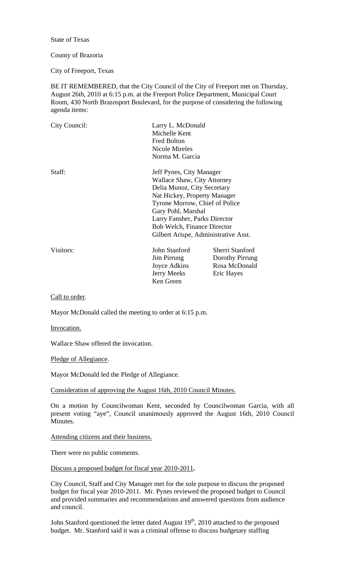State of Texas

## County of Brazoria

City of Freeport, Texas

BE IT REMEMBERED, that the City Council of the City of Freeport met on Thursday, August 26th, 2010 at 6:15 p.m. at the Freeport Police Department, Municipal Court Room, 430 North Brazosport Boulevard, for the purpose of considering the following agenda items:

| City Council: | Larry L. McDonald<br>Michelle Kent<br><b>Fred Bolton</b><br>Nicole Mireles<br>Norma M. Garcia                                                                                                                                                                                                 |                                                                   |
|---------------|-----------------------------------------------------------------------------------------------------------------------------------------------------------------------------------------------------------------------------------------------------------------------------------------------|-------------------------------------------------------------------|
| Staff:        | Jeff Pynes, City Manager<br>Wallace Shaw, City Attorney<br>Delia Munoz, City Secretary<br>Nat Hickey, Property Manager<br>Tyrone Morrow, Chief of Police<br>Gary Pohl, Marshal<br>Larry Fansher, Parks Director<br><b>Bob Welch, Finance Director</b><br>Gilbert Arispe, Administrative Asst. |                                                                   |
| Visitors:     | John Stanford<br>Jim Pirrung<br>Joyce Adkins<br>Jerry Meeks<br>Ken Green                                                                                                                                                                                                                      | Sherri Stanford<br>Dorothy Pirrung<br>Rosa McDonald<br>Eric Hayes |

Call to order.

Mayor McDonald called the meeting to order at 6:15 p.m.

Invocation.

Wallace Shaw offered the invocation.

Pledge of Allegiance.

Mayor McDonald led the Pledge of Allegiance.

Consideration of approving the August 16th, 2010 Council Minutes.

On a motion by Councilwoman Kent, seconded by Councilwoman Garcia, with all present voting "aye", Council unanimously approved the August 16th, 2010 Council Minutes.

Attending citizens and their business.

There were no public comments.

Discuss a proposed budget for fiscal year 2010-2011**.** 

City Council, Staff and City Manager met for the sole purpose to discuss the proposed budget for fiscal year 2010-2011. Mr. Pynes reviewed the proposed budget to Council and provided summaries and recommendations and answered questions from audience and council.

John Stanford questioned the letter dated August  $19<sup>th</sup>$ , 2010 attached to the proposed budget. Mr. Stanford said it was a criminal offense to discuss budgetary staffing